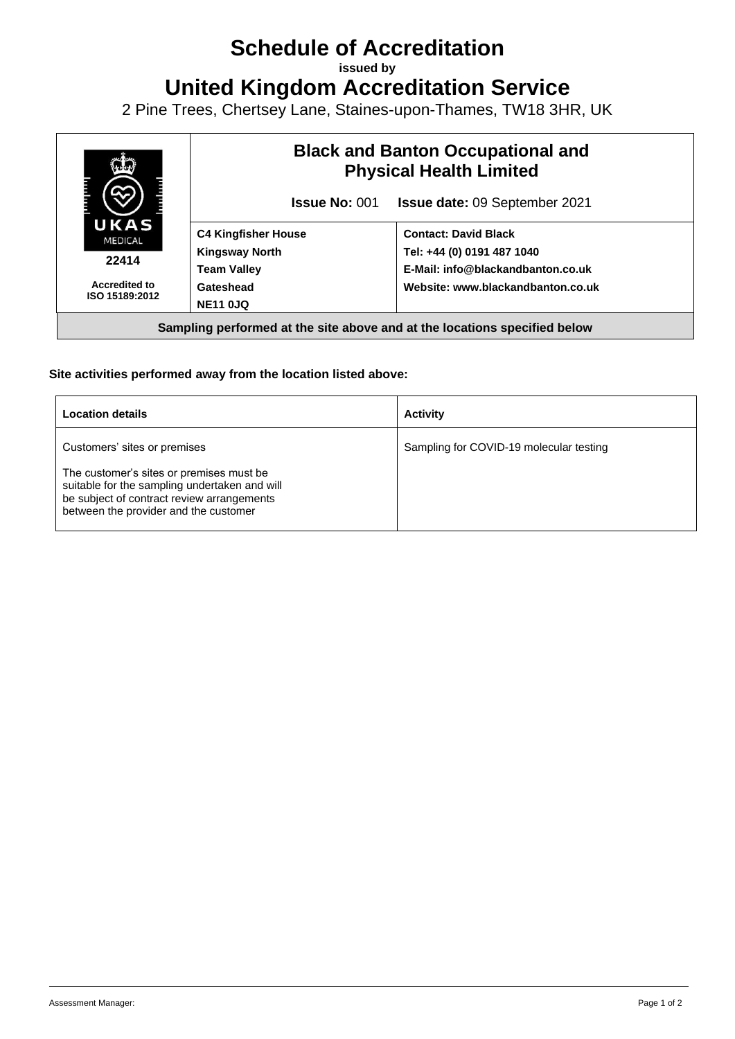# **Schedule of Accreditation**

**issued by**

**United Kingdom Accreditation Service**

2 Pine Trees, Chertsey Lane, Staines-upon-Thames, TW18 3HR, UK



### **Site activities performed away from the location listed above:**

| <b>Location details</b>                                                                                                                                                                                          | <b>Activity</b>                         |
|------------------------------------------------------------------------------------------------------------------------------------------------------------------------------------------------------------------|-----------------------------------------|
| Customers' sites or premises<br>The customer's sites or premises must be<br>suitable for the sampling undertaken and will<br>be subject of contract review arrangements<br>between the provider and the customer | Sampling for COVID-19 molecular testing |